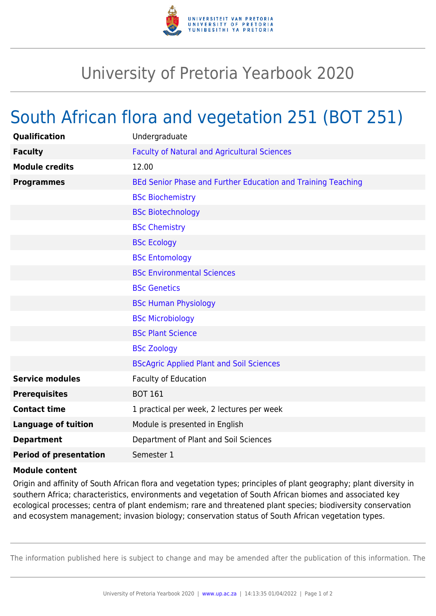

## University of Pretoria Yearbook 2020

## South African flora and vegetation 251 (BOT 251)

| Qualification                 | Undergraduate                                                |
|-------------------------------|--------------------------------------------------------------|
| <b>Faculty</b>                | <b>Faculty of Natural and Agricultural Sciences</b>          |
| <b>Module credits</b>         | 12.00                                                        |
| <b>Programmes</b>             | BEd Senior Phase and Further Education and Training Teaching |
|                               | <b>BSc Biochemistry</b>                                      |
|                               | <b>BSc Biotechnology</b>                                     |
|                               | <b>BSc Chemistry</b>                                         |
|                               | <b>BSc Ecology</b>                                           |
|                               | <b>BSc Entomology</b>                                        |
|                               | <b>BSc Environmental Sciences</b>                            |
|                               | <b>BSc Genetics</b>                                          |
|                               | <b>BSc Human Physiology</b>                                  |
|                               | <b>BSc Microbiology</b>                                      |
|                               | <b>BSc Plant Science</b>                                     |
|                               | <b>BSc Zoology</b>                                           |
|                               | <b>BScAgric Applied Plant and Soil Sciences</b>              |
| <b>Service modules</b>        | <b>Faculty of Education</b>                                  |
| <b>Prerequisites</b>          | <b>BOT 161</b>                                               |
| <b>Contact time</b>           | 1 practical per week, 2 lectures per week                    |
| <b>Language of tuition</b>    | Module is presented in English                               |
| <b>Department</b>             | Department of Plant and Soil Sciences                        |
| <b>Period of presentation</b> | Semester 1                                                   |
|                               |                                                              |

## **Module content**

Origin and affinity of South African flora and vegetation types; principles of plant geography; plant diversity in southern Africa; characteristics, environments and vegetation of South African biomes and associated key ecological processes; centra of plant endemism; rare and threatened plant species; biodiversity conservation and ecosystem management; invasion biology; conservation status of South African vegetation types.

The information published here is subject to change and may be amended after the publication of this information. The